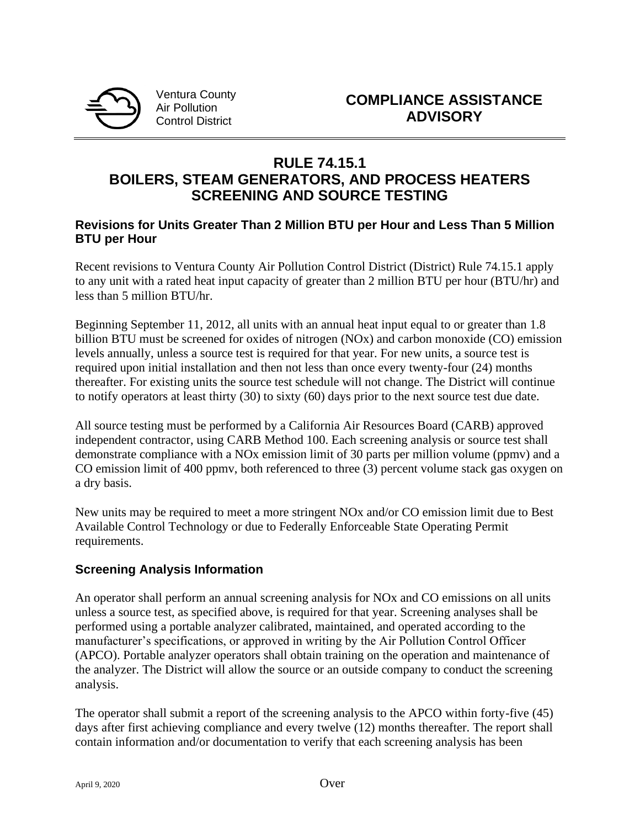

Ventura County Air Pollution Control District

# **RULE 74.15.1 BOILERS, STEAM GENERATORS, AND PROCESS HEATERS SCREENING AND SOURCE TESTING**

#### **Revisions for Units Greater Than 2 Million BTU per Hour and Less Than 5 Million BTU per Hour**

Recent revisions to Ventura County Air Pollution Control District (District) Rule 74.15.1 apply to any unit with a rated heat input capacity of greater than 2 million BTU per hour (BTU/hr) and less than 5 million BTU/hr.

Beginning September 11, 2012, all units with an annual heat input equal to or greater than 1.8 billion BTU must be screened for oxides of nitrogen (NOx) and carbon monoxide (CO) emission levels annually, unless a source test is required for that year. For new units, a source test is required upon initial installation and then not less than once every twenty-four (24) months thereafter. For existing units the source test schedule will not change. The District will continue to notify operators at least thirty (30) to sixty (60) days prior to the next source test due date.

All source testing must be performed by a California Air Resources Board (CARB) approved independent contractor, using CARB Method 100. Each screening analysis or source test shall demonstrate compliance with a NOx emission limit of 30 parts per million volume (ppmv) and a CO emission limit of 400 ppmv, both referenced to three (3) percent volume stack gas oxygen on a dry basis.

New units may be required to meet a more stringent NOx and/or CO emission limit due to Best Available Control Technology or due to Federally Enforceable State Operating Permit requirements.

### **Screening Analysis Information**

An operator shall perform an annual screening analysis for NOx and CO emissions on all units unless a source test, as specified above, is required for that year. Screening analyses shall be performed using a portable analyzer calibrated, maintained, and operated according to the manufacturer's specifications, or approved in writing by the Air Pollution Control Officer (APCO). Portable analyzer operators shall obtain training on the operation and maintenance of the analyzer. The District will allow the source or an outside company to conduct the screening analysis.

The operator shall submit a report of the screening analysis to the APCO within forty-five (45) days after first achieving compliance and every twelve (12) months thereafter. The report shall contain information and/or documentation to verify that each screening analysis has been